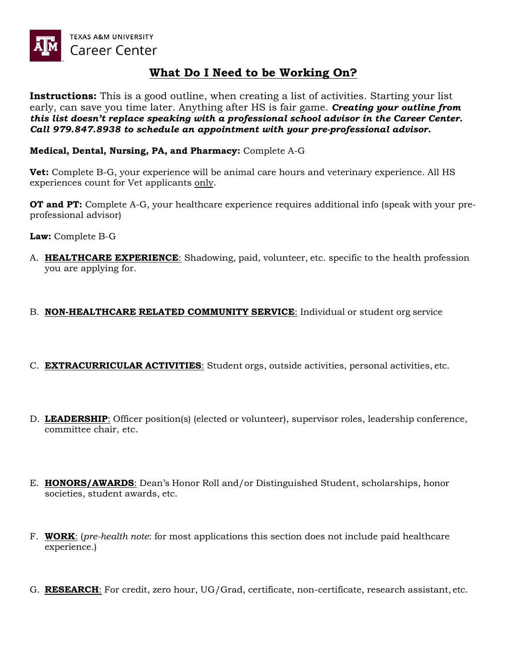

# **What Do I Need to be Working On?**

**Instructions:** This is a good outline, when creating a list of activities. Starting your list early, can save you time later. Anything after HS is fair game. *Creating your outline from this list doesn't replace speaking with a professional school advisor in the Career Center. Call 979.847.8938 to schedule an appointment with your pre-professional advisor.* 

### **Medical, Dental, Nursing, PA, and Pharmacy:** Complete A-G

**Vet:** Complete B-G, your experience will be animal care hours and veterinary experience. All HS experiences count for Vet applicants only.

**OT and PT:** Complete A-G, your healthcare experience requires additional info (speak with your preprofessional advisor)

**Law:** Complete B-G

A. **HEALTHCARE EXPERIENCE**: Shadowing, paid, volunteer, etc. specific to the health profession you are applying for.

## B. **NON-HEALTHCARE RELATED COMMUNITY SERVICE**: Individual or student org service

- C. **EXTRACURRICULAR ACTIVITIES**: Student orgs, outside activities, personal activities, etc.
- D. **LEADERSHIP**: Officer position(s) (elected or volunteer), supervisor roles, leadership conference, committee chair, etc.
- E. **HONORS/AWARDS**: Dean's Honor Roll and/or Distinguished Student, scholarships, honor societies, student awards, etc.
- F. **WORK**: (*pre-health note*: for most applications this section does not include paid healthcare experience.)
- G. **RESEARCH**: For credit, zero hour, UG/Grad, certificate, non-certificate, research assistant, etc.